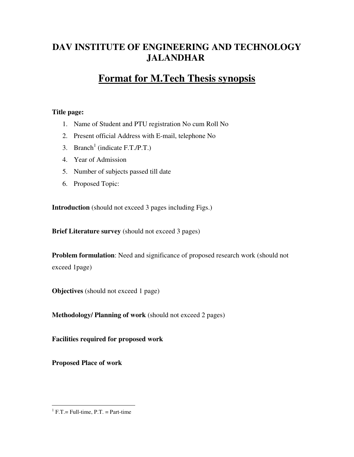# **DAV INSTITUTE OF ENGINEERING AND TECHNOLOGY JALANDHAR**

# **Format for M.Tech Thesis synopsis**

### **Title page:**

- 1. Name of Student and PTU registration No cum Roll No
- 2. Present official Address with E-mail, telephone No
- 3. Branch<sup>1</sup> (indicate F.T./P.T.)
- 4. Year of Admission
- 5. Number of subjects passed till date
- 6. Proposed Topic:

**Introduction** (should not exceed 3 pages including Figs.)

**Brief Literature survey** (should not exceed 3 pages)

**Problem formulation**: Need and significance of proposed research work (should not exceed 1page)

**Objectives** (should not exceed 1 page)

**Methodology/ Planning of work** (should not exceed 2 pages)

**Facilities required for proposed work** 

**Proposed Place of work** 

 $\overline{a}$ 

 $<sup>1</sup>$  F.T. = Full-time, P.T. = Part-time</sup>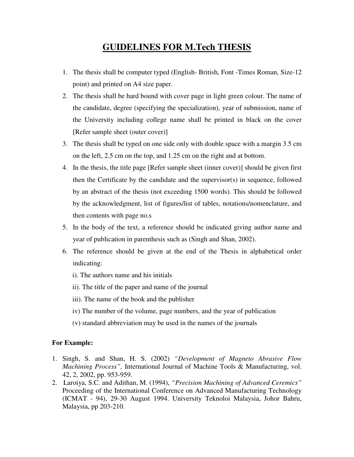# **GUIDELINES FOR M.Tech THESIS**

- 1. The thesis shall be computer typed (English- British, Font -Times Roman, Size-12 point) and printed on A4 size paper.
- 2. The thesis shall be hard bound with cover page in light green colour. The name of the candidate, degree (specifying the specialization), year of submission, name of the University including college name shall be printed in black on the cover [Refer sample sheet (outer cover)]
- 3. The thesis shall be typed on one side only with double space with a margin 3.5 cm on the left, 2.5 cm on the top, and 1.25 cm on the right and at bottom.
- 4. In the thesis, the title page [Refer sample sheet (inner cover)] should be given first then the Certificate by the candidate and the supervisor(s) in sequence, followed by an abstract of the thesis (not exceeding 1500 words). This should be followed by the acknowledgment, list of figures/list of tables, notations/nomenclature, and then contents with page no.s
- 5. In the body of the text, a reference should be indicated giving author name and year of publication in parenthesis such as (Singh and Shan, 2002).
- 6. The reference should be given at the end of the Thesis in alphabetical order indicating:
	- i). The authors name and his initials
	- ii). The title of the paper and name of the journal
	- iii). The name of the book and the publisher
	- iv) The number of the volume, page numbers, and the year of publication
	- (v) standard abbreviation may be used in the names of the journals

#### **For Example:**

- 1. Singh, S. and Shan, H. S. (2002) *"Development of Magneto Abrasive Flow Machining Process",* International Journal of Machine Tools & Manufacturing, vol. 42, 2, 2002, pp. 953-959.
- 2. Laroiya, S.C. and Adithan, M. (1994), *"Precision Machining of Advanced Ceremics"* Proceeding of the International Conference on Advanced Manufacturing Technology (ICMAT - 94), 29-30 August 1994. University Teknoloi Malaysia, Johor Bahru, Malaysia, pp 203-210.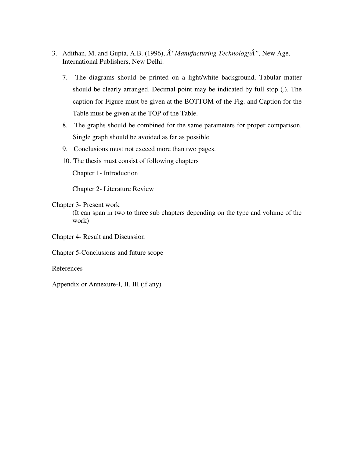- 3. Adithan, M. and Gupta, A.B. (1996),  $\hat{A}$  "Manufacturing Technology $\hat{A}$ ", New Age, International Publishers, New Delhi.
	- 7. The diagrams should be printed on a light/white background, Tabular matter should be clearly arranged. Decimal point may be indicated by full stop (.). The caption for Figure must be given at the BOTTOM of the Fig. and Caption for the Table must be given at the TOP of the Table.
	- 8. The graphs should be combined for the same parameters for proper comparison. Single graph should be avoided as far as possible.
	- 9. Conclusions must not exceed more than two pages.
	- 10. The thesis must consist of following chapters

Chapter 1- Introduction

Chapter 2- Literature Review

#### Chapter 3- Present work

(It can span in two to three sub chapters depending on the type and volume of the work)

Chapter 4- Result and Discussion

Chapter 5-Conclusions and future scope

References

Appendix or Annexure-I, II, III (if any)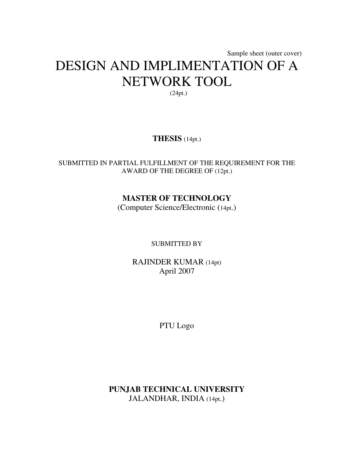# Sample sheet (outer cover) DESIGN AND IMPLIMENTATION OF A NETWORK TOOL (24pt.)

# **THESIS** (14pt.)

## SUBMITTED IN PARTIAL FULFILLMENT OF THE REQUIREMENT FOR THE AWARD OF THE DEGREE OF (12pt.)

# **MASTER OF TECHNOLOGY**

(Computer Science/Electronic (14pt.)

SUBMITTED BY

RAJINDER KUMAR (14pt) April 2007

PTU Logo

**PUNJAB TECHNICAL UNIVERSITY** JALANDHAR, INDIA (14pt.)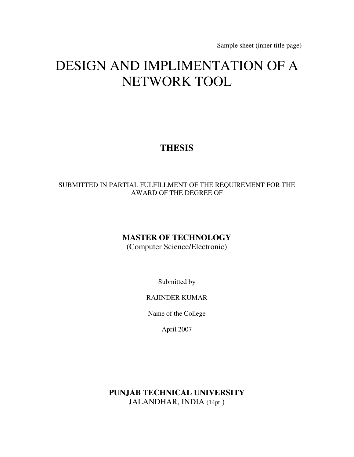Sample sheet (inner title page)

# DESIGN AND IMPLIMENTATION OF A NETWORK TOOL

# **THESIS**

## SUBMITTED IN PARTIAL FULFILLMENT OF THE REQUIREMENT FOR THE AWARD OF THE DEGREE OF

# **MASTER OF TECHNOLOGY**

(Computer Science/Electronic)

Submitted by

## RAJINDER KUMAR

Name of the College

April 2007

**PUNJAB TECHNICAL UNIVERSITY** JALANDHAR, INDIA (14pt.)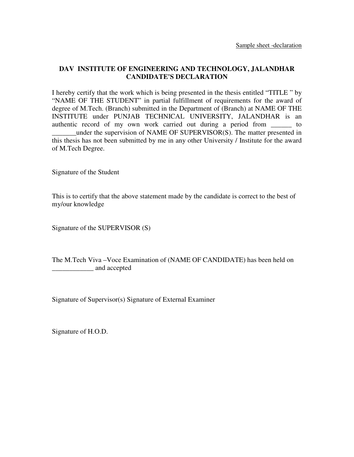## **DAV INSTITUTE OF ENGINEERING AND TECHNOLOGY, JALANDHAR CANDIDATE'S DECLARATION**

I hereby certify that the work which is being presented in the thesis entitled "TITLE " by "NAME OF THE STUDENT" in partial fulfillment of requirements for the award of degree of M.Tech. (Branch) submitted in the Department of (Branch) at NAME OF THE INSTITUTE under PUNJAB TECHNICAL UNIVERSITY, JALANDHAR is an authentic record of my own work carried out during a period from to \_\_\_\_\_\_\_under the supervision of NAME OF SUPERVISOR(S). The matter presented in this thesis has not been submitted by me in any other University / Institute for the award of M.Tech Degree.

Signature of the Student

This is to certify that the above statement made by the candidate is correct to the best of my/our knowledge

Signature of the SUPERVISOR (S)

The M.Tech Viva –Voce Examination of (NAME OF CANDIDATE) has been held on \_\_\_\_\_\_\_\_\_\_\_\_ and accepted

Signature of Supervisor(s) Signature of External Examiner

Signature of H.O.D.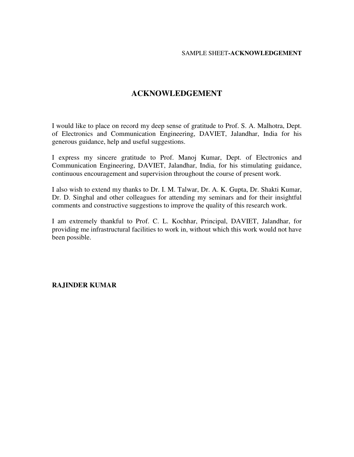# **ACKNOWLEDGEMENT**

I would like to place on record my deep sense of gratitude to Prof. S. A. Malhotra, Dept. of Electronics and Communication Engineering, DAVIET, Jalandhar, India for his generous guidance, help and useful suggestions.

I express my sincere gratitude to Prof. Manoj Kumar, Dept. of Electronics and Communication Engineering, DAVIET, Jalandhar, India, for his stimulating guidance, continuous encouragement and supervision throughout the course of present work.

I also wish to extend my thanks to Dr. I. M. Talwar, Dr. A. K. Gupta, Dr. Shakti Kumar, Dr. D. Singhal and other colleagues for attending my seminars and for their insightful comments and constructive suggestions to improve the quality of this research work.

I am extremely thankful to Prof. C. L. Kochhar, Principal, DAVIET, Jalandhar, for providing me infrastructural facilities to work in, without which this work would not have been possible.

#### **RAJINDER KUMAR**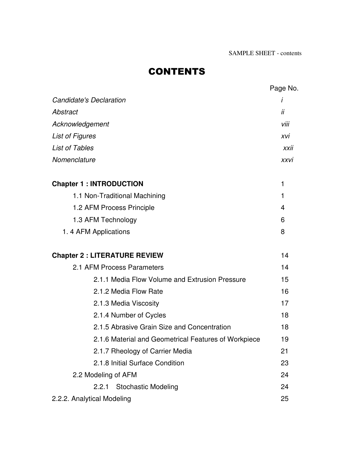# **CONTENTS**

|                                                      | Page No.    |
|------------------------------------------------------|-------------|
| <b>Candidate's Declaration</b>                       | İ           |
| Abstract                                             | ii          |
| Acknowledgement                                      | viii        |
| <b>List of Figures</b>                               | xvi         |
| <b>List of Tables</b>                                | xxii        |
| Nomenclature                                         | <b>XXVI</b> |
| <b>Chapter 1: INTRODUCTION</b>                       | 1           |
| 1.1 Non-Traditional Machining                        | 1           |
| 1.2 AFM Process Principle                            | 4           |
| 1.3 AFM Technology                                   | 6           |
| 1.4 AFM Applications                                 | 8           |
| <b>Chapter 2: LITERATURE REVIEW</b>                  | 14          |
| 2.1 AFM Process Parameters                           | 14          |
| 2.1.1 Media Flow Volume and Extrusion Pressure       | 15          |
| 2.1.2 Media Flow Rate                                | 16          |
| 2.1.3 Media Viscosity                                | 17          |
| 2.1.4 Number of Cycles                               | 18          |
| 2.1.5 Abrasive Grain Size and Concentration          | 18          |
| 2.1.6 Material and Geometrical Features of Workpiece | 19          |
| 2.1.7 Rheology of Carrier Media                      | 21          |
| 2.1.8 Initial Surface Condition                      | 23          |
| 2.2 Modeling of AFM                                  | 24          |
| 2.2.1 Stochastic Modeling                            | 24          |
| 2.2.2. Analytical Modeling                           | 25          |